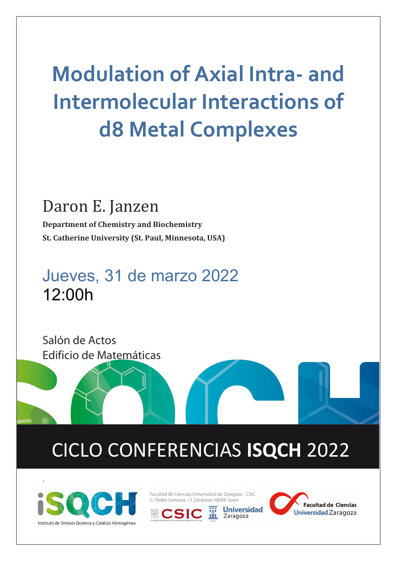# **Modulation of Axial Intra- and Intermolecular Interactions of d8 Metal Complexes**

#### Daron E. Janzen

**Department of Chemistry and Biochemistry St. Catherine University (St. Paul, Minnesota, USA)**

### Jueves, 31 de marzo 2022 12:00h



## CICLO CONFERENCIAS **ISQCH** 2022



.

Facultad de Ciencias, Universidad de Zaragoza - CSIC C/ Pedro Cerbuna, 12, Zaragoza 50009, Spain